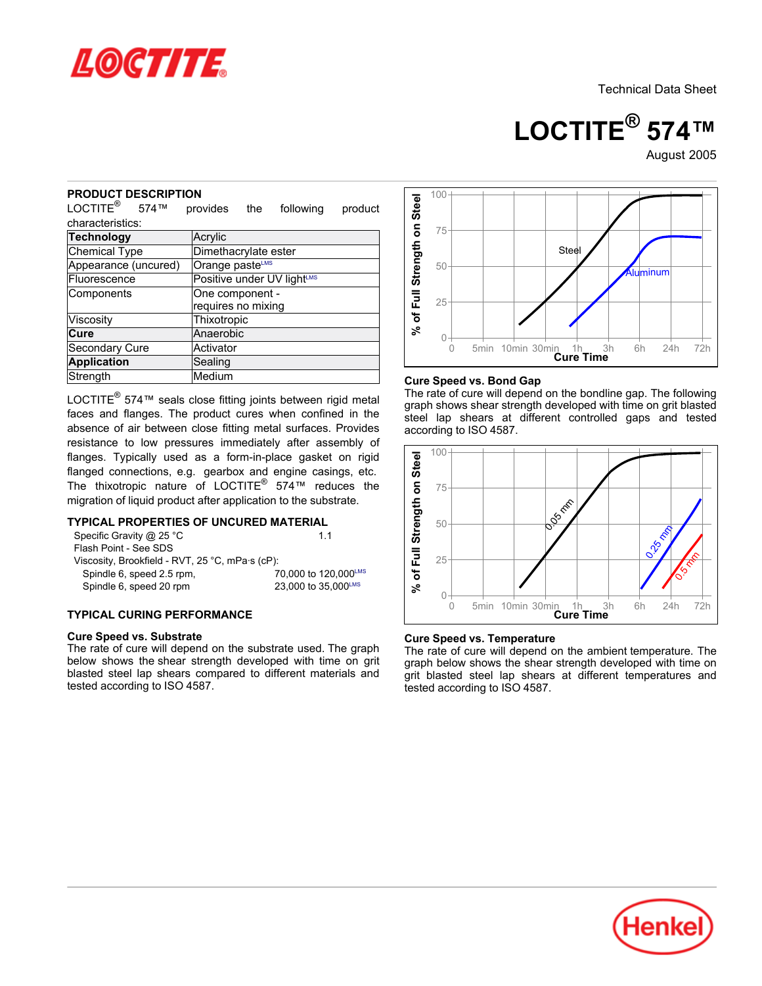

**LOCTITE® 574™**

August-2005

#### **PRODUCT DESCRIPTION**

| UUUVI DLJV<br>יוטו זור<br>LOCTITE <sup>®</sup> 574™                                                                                                                                                                                                                                                                                     | provides                              | the | following                                   | product |                             |
|-----------------------------------------------------------------------------------------------------------------------------------------------------------------------------------------------------------------------------------------------------------------------------------------------------------------------------------------|---------------------------------------|-----|---------------------------------------------|---------|-----------------------------|
| characteristics:                                                                                                                                                                                                                                                                                                                        |                                       |     |                                             |         |                             |
| <b>Technology</b>                                                                                                                                                                                                                                                                                                                       | Acrylic                               |     |                                             |         |                             |
| Dimethacrylate ester<br><b>Chemical Type</b>                                                                                                                                                                                                                                                                                            |                                       |     |                                             |         |                             |
| Appearance (uncured)<br>Orange pasteLMS                                                                                                                                                                                                                                                                                                 |                                       |     |                                             |         |                             |
| Fluorescence                                                                                                                                                                                                                                                                                                                            |                                       |     | Positive under UV lightLMS                  |         |                             |
| Components                                                                                                                                                                                                                                                                                                                              | One component -<br>requires no mixing |     |                                             |         | % of Full Strength on Steel |
| Viscosity                                                                                                                                                                                                                                                                                                                               | Thixotropic                           |     |                                             |         |                             |
| Cure                                                                                                                                                                                                                                                                                                                                    | Anaerobic                             |     |                                             |         |                             |
| Secondary Cure                                                                                                                                                                                                                                                                                                                          | Activator                             |     |                                             |         |                             |
| <b>Application</b>                                                                                                                                                                                                                                                                                                                      | Sealing                               |     |                                             |         |                             |
| Strength                                                                                                                                                                                                                                                                                                                                | Medium                                |     |                                             |         | Cur                         |
| resistance to low pressures immediately after assembly of<br>flanges. Typically used as a form-in-place gasket on rigid<br>flanged connections, e.g. gearbox and engine casings, etc.<br>The thixotropic nature of LOCTITE <sup>®</sup> 574 <sup>™</sup> reduces the<br>migration of liquid product after application to the substrate. |                                       |     |                                             |         | of Full Strength on Steel   |
| <b>TYPICAL PROPERTIES OF UNCURED MATERIAL</b><br>Specific Gravity @ 25 °C<br>Flash Point - See SDS<br>Viscosity, Brookfield - RVT, 25 °C, mPa·s (cP):<br>Spindle 6, speed 2.5 rpm,<br>Spindle 6, speed 20 rpm                                                                                                                           |                                       |     | 1.1                                         |         |                             |
|                                                                                                                                                                                                                                                                                                                                         |                                       |     | 70,000 to 120,000LMS<br>23,000 to 35,000LMS |         | گ<br>چ                      |
| <b>TYPICAL CURING PERFORMANCE</b>                                                                                                                                                                                                                                                                                                       |                                       |     |                                             |         |                             |

# **TYPICAL PROPERTIES OF UNCURED MATERIAL**

| Specific Gravity @ 25 °C                        | 11                   |
|-------------------------------------------------|----------------------|
| Flash Point - See SDS                           |                      |
| Viscosity, Brookfield - RVT, 25 °C, mPa·s (cP): |                      |
| Spindle 6, speed 2.5 rpm,                       | 70,000 to 120,000LMS |
| Spindle 6, speed 20 rpm                         | 23,000 to 35,000LMS  |
|                                                 |                      |

# **TYPICAL CURING PERFORMANCE**

#### **Cure Speed vs. Substrate**



#### **Cure Speed vs. Bond Gap**

The rate of cure will depend on the bondline gap. The following graph shows shear strength developed with time on grit blasted steel lap shears at different controlled gaps and tested according to ISO 4587.



#### **Cure Speed vs. Temperature**

The rate of cure will depend on the ambient temperature. The graph below shows the shear strength developed with time on grit blasted steel lap shears at different temperatures and tested according to ISO 4587.

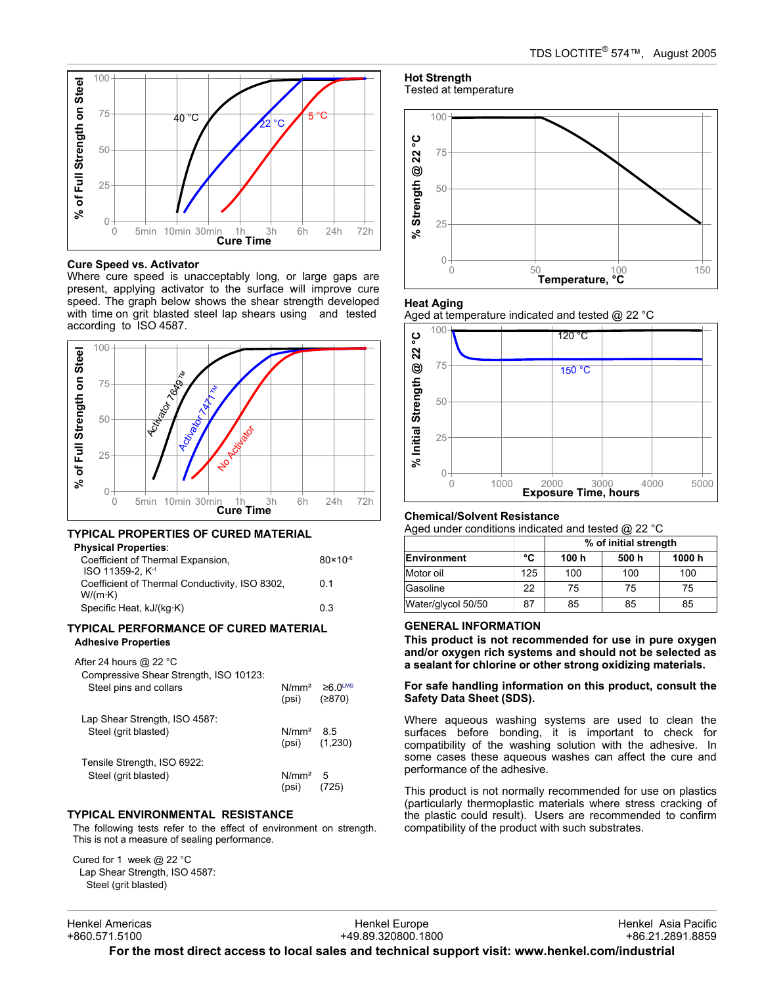

#### **Cure Speed vs. Activator**

Where cure speed is unacceptably long, or large gaps are present, applying activator to the surface will improve cure speed. The graph below shows the shear strength developed with time on grit blasted steel lap shears using and tested according to ISO 4587.



# **TYPICAL PROPERTIES OF CURED MATERIAL**

| Physical Properties:                                              |                     |
|-------------------------------------------------------------------|---------------------|
| Coefficient of Thermal Expansion,<br>ISO 11359-2. K <sup>-1</sup> | $80 \times 10^{-6}$ |
| Coefficient of Thermal Conductivity, ISO 8302,<br>$W/(m \cdot K)$ | 0 1                 |
| Specific Heat, kJ/(kg·K)                                          | 03                  |

### **TYPICAL PERFORMANCE OF CURED MATERIAL Adhesive Properties**

# After 24 hours @ 22 °C

| Compressive Shear Strength, ISO 10123:<br>Steel pins and collars | N/mm <sup>2</sup><br>(psi) | $≥6.0^{\text{LMS}}$<br>(2870) |
|------------------------------------------------------------------|----------------------------|-------------------------------|
| Lap Shear Strength, ISO 4587:<br>Steel (grit blasted)            | N/mm <sup>2</sup>          | 85<br>$(psi)$ $(1,230)$       |
| Tensile Strength, ISO 6922:<br>Steel (grit blasted)              | N/mm <sup>2</sup><br>(psi) | 5                             |

### **TYPICAL ENVIRONMENTAL RESISTANCE**

The following tests refer to the effect of environment on strength. This is not a measure of sealing performance.

Cured for 1 week @ 22 °C Lap Shear Strength, ISO 4587: Steel (grit blasted)

**Hot Strength** Tested at temperature



#### **Heat Aging**





#### **Chemical/Solvent Resistance**

Aged under conditions indicated and tested @ 22 °C

|                    |     | % of initial strength |       |        |
|--------------------|-----|-----------------------|-------|--------|
| <b>Environment</b> | °C  | 100 h                 | 500 h | 1000 h |
| Motor oil          | 125 | 100                   | 100   | 100    |
| Gasoline           | 22  | 75                    | 75    | 75     |
| Water/glycol 50/50 | 87  | 85                    | 85    | 85     |

### **GENERAL INFORMATION**

**This product is not recommended for use in pure oxygen and/or oxygen rich systems and should not be selected as a sealant for chlorine or other strong oxidizing materials.**

#### **For safe handling information on this product, consult the Safety Data Sheet (SDS).**

Where aqueous washing systems are used to clean the surfaces before bonding, it is important to check for compatibility of the washing solution with the adhesive. In some cases these aqueous washes can affect the cure and performance of the adhesive.

This product is not normally recommended for use on plastics (particularly thermoplastic materials where stress cracking of the plastic could result). Users are recommended to confirm compatibility of the product with such substrates.